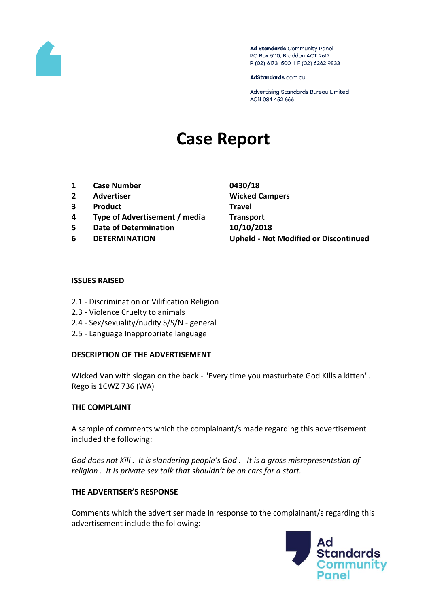

Ad Standards Community Panel PO Box 5110, Braddon ACT 2612 P (02) 6173 1500 | F (02) 6262 9833

AdStandards.com.au

Advertising Standards Bureau Limited ACN 084 452 666

# **Case Report**

- **1 Case Number 0430/18**
- **2 Advertiser Wicked Campers**
- **3 Product Travel**
- **4 Type of Advertisement / media Transport**
- **5 Date of Determination 10/10/2018**
- 

**6 DETERMINATION Upheld - Not Modified or Discontinued**

#### **ISSUES RAISED**

- 2.1 Discrimination or Vilification Religion
- 2.3 Violence Cruelty to animals
- 2.4 Sex/sexuality/nudity S/S/N general
- 2.5 Language Inappropriate language

### **DESCRIPTION OF THE ADVERTISEMENT**

Wicked Van with slogan on the back - "Every time you masturbate God Kills a kitten". Rego is 1CWZ 736 (WA)

#### **THE COMPLAINT**

A sample of comments which the complainant/s made regarding this advertisement included the following:

*God does not Kill . It is slandering people's God . It is a gross misrepresentstion of religion . It is private sex talk that shouldn't be on cars for a start.* 

### **THE ADVERTISER'S RESPONSE**

Comments which the advertiser made in response to the complainant/s regarding this advertisement include the following:

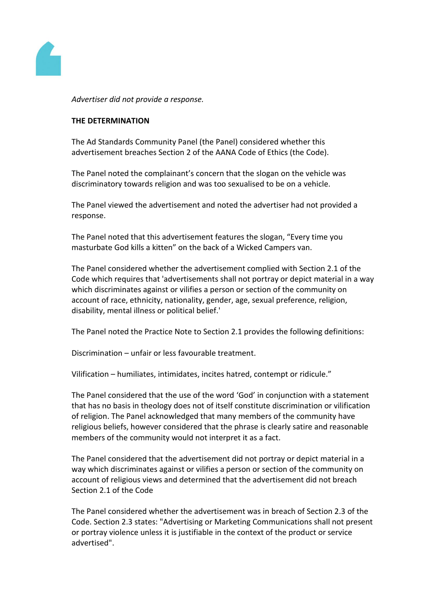

*Advertiser did not provide a response.*

#### **THE DETERMINATION**

The Ad Standards Community Panel (the Panel) considered whether this advertisement breaches Section 2 of the AANA Code of Ethics (the Code).

The Panel noted the complainant's concern that the slogan on the vehicle was discriminatory towards religion and was too sexualised to be on a vehicle.

The Panel viewed the advertisement and noted the advertiser had not provided a response.

The Panel noted that this advertisement features the slogan, "Every time you masturbate God kills a kitten" on the back of a Wicked Campers van.

The Panel considered whether the advertisement complied with Section 2.1 of the Code which requires that 'advertisements shall not portray or depict material in a way which discriminates against or vilifies a person or section of the community on account of race, ethnicity, nationality, gender, age, sexual preference, religion, disability, mental illness or political belief.'

The Panel noted the Practice Note to Section 2.1 provides the following definitions:

Discrimination – unfair or less favourable treatment.

Vilification – humiliates, intimidates, incites hatred, contempt or ridicule."

The Panel considered that the use of the word 'God' in conjunction with a statement that has no basis in theology does not of itself constitute discrimination or vilification of religion. The Panel acknowledged that many members of the community have religious beliefs, however considered that the phrase is clearly satire and reasonable members of the community would not interpret it as a fact.

The Panel considered that the advertisement did not portray or depict material in a way which discriminates against or vilifies a person or section of the community on account of religious views and determined that the advertisement did not breach Section 2.1 of the Code

The Panel considered whether the advertisement was in breach of Section 2.3 of the Code. Section 2.3 states: "Advertising or Marketing Communications shall not present or portray violence unless it is justifiable in the context of the product or service advertised".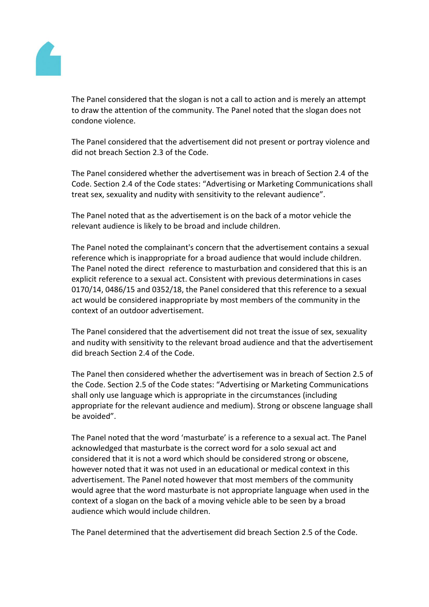

The Panel considered that the slogan is not a call to action and is merely an attempt to draw the attention of the community. The Panel noted that the slogan does not condone violence.

The Panel considered that the advertisement did not present or portray violence and did not breach Section 2.3 of the Code.

The Panel considered whether the advertisement was in breach of Section 2.4 of the Code. Section 2.4 of the Code states: "Advertising or Marketing Communications shall treat sex, sexuality and nudity with sensitivity to the relevant audience".

The Panel noted that as the advertisement is on the back of a motor vehicle the relevant audience is likely to be broad and include children.

The Panel noted the complainant's concern that the advertisement contains a sexual reference which is inappropriate for a broad audience that would include children. The Panel noted the direct reference to masturbation and considered that this is an explicit reference to a sexual act. Consistent with previous determinations in cases 0170/14, 0486/15 and 0352/18, the Panel considered that this reference to a sexual act would be considered inappropriate by most members of the community in the context of an outdoor advertisement.

The Panel considered that the advertisement did not treat the issue of sex, sexuality and nudity with sensitivity to the relevant broad audience and that the advertisement did breach Section 2.4 of the Code.

The Panel then considered whether the advertisement was in breach of Section 2.5 of the Code. Section 2.5 of the Code states: "Advertising or Marketing Communications shall only use language which is appropriate in the circumstances (including appropriate for the relevant audience and medium). Strong or obscene language shall be avoided".

The Panel noted that the word 'masturbate' is a reference to a sexual act. The Panel acknowledged that masturbate is the correct word for a solo sexual act and considered that it is not a word which should be considered strong or obscene, however noted that it was not used in an educational or medical context in this advertisement. The Panel noted however that most members of the community would agree that the word masturbate is not appropriate language when used in the context of a slogan on the back of a moving vehicle able to be seen by a broad audience which would include children.

The Panel determined that the advertisement did breach Section 2.5 of the Code.